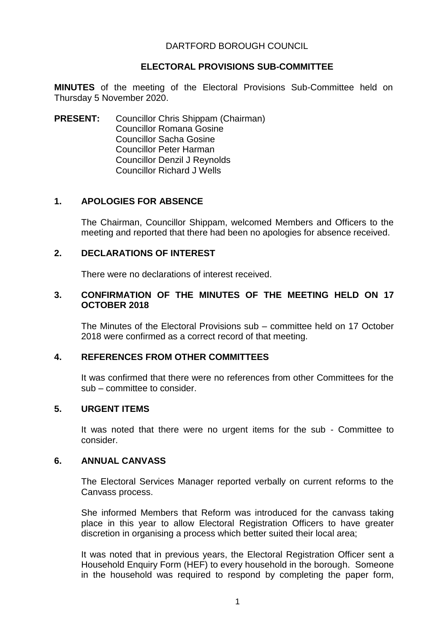## DARTFORD BOROUGH COUNCIL

## **ELECTORAL PROVISIONS SUB-COMMITTEE**

**MINUTES** of the meeting of the Electoral Provisions Sub-Committee held on Thursday 5 November 2020.

**PRESENT:** Councillor Chris Shippam (Chairman) Councillor Romana Gosine Councillor Sacha Gosine Councillor Peter Harman Councillor Denzil J Reynolds Councillor Richard J Wells

## **1. APOLOGIES FOR ABSENCE**

The Chairman, Councillor Shippam, welcomed Members and Officers to the meeting and reported that there had been no apologies for absence received.

### **2. DECLARATIONS OF INTEREST**

There were no declarations of interest received.

## **3. CONFIRMATION OF THE MINUTES OF THE MEETING HELD ON 17 OCTOBER 2018**

The Minutes of the Electoral Provisions sub – committee held on 17 October 2018 were confirmed as a correct record of that meeting.

#### **4. REFERENCES FROM OTHER COMMITTEES**

It was confirmed that there were no references from other Committees for the sub – committee to consider.

#### **5. URGENT ITEMS**

It was noted that there were no urgent items for the sub - Committee to consider.

#### **6. ANNUAL CANVASS**

The Electoral Services Manager reported verbally on current reforms to the Canvass process.

She informed Members that Reform was introduced for the canvass taking place in this year to allow Electoral Registration Officers to have greater discretion in organising a process which better suited their local area;

It was noted that in previous years, the Electoral Registration Officer sent a Household Enquiry Form (HEF) to every household in the borough. Someone in the household was required to respond by completing the paper form,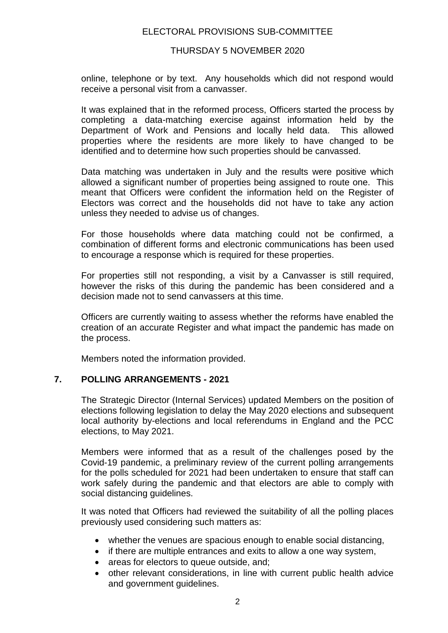# ELECTORAL PROVISIONS SUB-COMMITTEE

## THURSDAY 5 NOVEMBER 2020

online, telephone or by text. Any households which did not respond would receive a personal visit from a canvasser.

It was explained that in the reformed process, Officers started the process by completing a data-matching exercise against information held by the Department of Work and Pensions and locally held data. This allowed properties where the residents are more likely to have changed to be identified and to determine how such properties should be canvassed.

Data matching was undertaken in July and the results were positive which allowed a significant number of properties being assigned to route one. This meant that Officers were confident the information held on the Register of Electors was correct and the households did not have to take any action unless they needed to advise us of changes.

For those households where data matching could not be confirmed, a combination of different forms and electronic communications has been used to encourage a response which is required for these properties.

For properties still not responding, a visit by a Canvasser is still required, however the risks of this during the pandemic has been considered and a decision made not to send canvassers at this time.

Officers are currently waiting to assess whether the reforms have enabled the creation of an accurate Register and what impact the pandemic has made on the process.

Members noted the information provided.

# **7. POLLING ARRANGEMENTS - 2021**

The Strategic Director (Internal Services) updated Members on the position of elections following legislation to delay the May 2020 elections and subsequent local authority by-elections and local referendums in England and the PCC elections, to May 2021.

Members were informed that as a result of the challenges posed by the Covid-19 pandemic, a preliminary review of the current polling arrangements for the polls scheduled for 2021 had been undertaken to ensure that staff can work safely during the pandemic and that electors are able to comply with social distancing guidelines.

It was noted that Officers had reviewed the suitability of all the polling places previously used considering such matters as:

- whether the venues are spacious enough to enable social distancing,
- if there are multiple entrances and exits to allow a one way system,
- areas for electors to queue outside, and;
- other relevant considerations, in line with current public health advice and government guidelines.